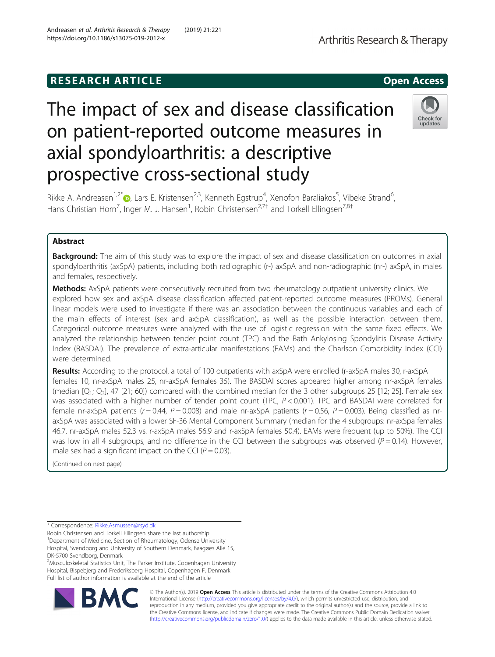## **RESEARCH ARTICLE Example 2014 12:30 The SEAR CH ACCESS**

# The impact of sex and disease classification on patient-reported outcome measures in axial spondyloarthritis: a descriptive prospective cross-sectional study



Rikke A. Andreasen<sup>1,2[\\*](http://orcid.org/0000-0002-4992-5229)</sup>®, Lars E. Kristensen<sup>2,3</sup>, Kenneth Egstrup<sup>4</sup>, Xenofon Baraliakos<sup>5</sup>, Vibeke Strand<sup>6</sup> , Hans Christian Horn<sup>7</sup>, Inger M. J. Hansen<sup>1</sup>, Robin Christensen<sup>2,7†</sup> and Torkell Ellingsen<sup>7,8†</sup>

### Abstract

**Background:** The aim of this study was to explore the impact of sex and disease classification on outcomes in axial spondyloarthritis (axSpA) patients, including both radiographic (r-) axSpA and non-radiographic (nr-) axSpA, in males and females, respectively.

Methods: AxSpA patients were consecutively recruited from two rheumatology outpatient university clinics. We explored how sex and axSpA disease classification affected patient-reported outcome measures (PROMs). General linear models were used to investigate if there was an association between the continuous variables and each of the main effects of interest (sex and axSpA classification), as well as the possible interaction between them. Categorical outcome measures were analyzed with the use of logistic regression with the same fixed effects. We analyzed the relationship between tender point count (TPC) and the Bath Ankylosing Spondylitis Disease Activity Index (BASDAI). The prevalence of extra-articular manifestations (EAMs) and the Charlson Comorbidity Index (CCI) were determined.

Results: According to the protocol, a total of 100 outpatients with axSpA were enrolled (r-axSpA males 30, r-axSpA females 10, nr-axSpA males 25, nr-axSpA females 35). The BASDAI scores appeared higher among nr-axSpA females (median  $[Q_1; Q_2]$ , 47 [21; 60]) compared with the combined median for the 3 other subgroups 25 [12; 25]. Female sex was associated with a higher number of tender point count (TPC, P < 0.001). TPC and BASDAI were correlated for female nr-axSpA patients ( $r = 0.44$ ,  $P = 0.008$ ) and male nr-axSpA patients ( $r = 0.56$ ,  $P = 0.003$ ). Being classified as nraxSpA was associated with a lower SF-36 Mental Component Summary (median for the 4 subgroups: nr-axSpa females 46.7, nr-axSpA males 52.3 vs. r-axSpA males 56.9 and r-axSpA females 50.4). EAMs were frequent (up to 50%). The CCI was low in all 4 subgroups, and no difference in the CCI between the subgroups was observed ( $P = 0.14$ ). However, male sex had a significant impact on the CCI ( $P = 0.03$ ).

(Continued on next page)

\* Correspondence: [Rikke.Asmussen@rsyd.dk](mailto:Rikke.Asmussen@rsyd.dk)

Hospital, Bispebjerg and Frederiksberg Hospital, Copenhagen F, Denmark Full list of author information is available at the end of the article



© The Author(s). 2019 **Open Access** This article is distributed under the terms of the Creative Commons Attribution 4.0 International License [\(http://creativecommons.org/licenses/by/4.0/](http://creativecommons.org/licenses/by/4.0/)), which permits unrestricted use, distribution, and reproduction in any medium, provided you give appropriate credit to the original author(s) and the source, provide a link to the Creative Commons license, and indicate if changes were made. The Creative Commons Public Domain Dedication waiver [\(http://creativecommons.org/publicdomain/zero/1.0/](http://creativecommons.org/publicdomain/zero/1.0/)) applies to the data made available in this article, unless otherwise stated.

Robin Christensen and Torkell Ellingsen share the last authorship <sup>1</sup>Department of Medicine, Section of Rheumatology, Odense University Hospital, Svendborg and University of Southern Denmark, Baagøes Allé 15,

DK-5700 Svendborg, Denmark <sup>2</sup>Musculoskeletal Statistics Unit, The Parker Institute, Copenhagen University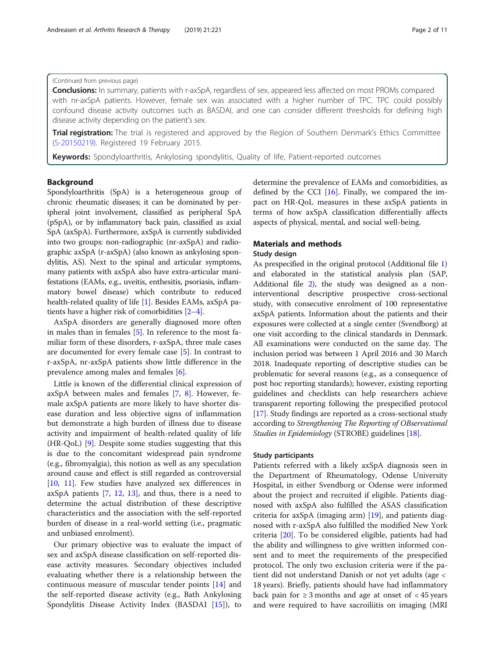#### (Continued from previous page)

**Conclusions:** In summary, patients with r-axSpA, regardless of sex, appeared less affected on most PROMs compared with nr-axSpA patients. However, female sex was associated with a higher number of TPC. TPC could possibly confound disease activity outcomes such as BASDAI, and one can consider different thresholds for defining high disease activity depending on the patient's sex.

**Trial registration:** The trial is registered and approved by the Region of Southern Denmark's Ethics Committee ([S-20150219\)](http://www.drvk.dk/anmeldelse/Anmeldelse.html). Registered 19 February 2015.

Keywords: Spondyloarthritis, Ankylosing spondylitis, Quality of life, Patient-reported outcomes

#### Background

Spondyloarthritis (SpA) is a heterogeneous group of chronic rheumatic diseases; it can be dominated by peripheral joint involvement, classified as peripheral SpA (pSpA), or by inflammatory back pain, classified as axial SpA (axSpA). Furthermore, axSpA is currently subdivided into two groups: non-radiographic (nr-axSpA) and radiographic axSpA (r-axSpA) (also known as ankylosing spondylitis, AS). Next to the spinal and articular symptoms, many patients with axSpA also have extra-articular manifestations (EAMs, e.g., uveitis, enthesitis, psoriasis, inflammatory bowel disease) which contribute to reduced health-related quality of life [[1](#page-9-0)]. Besides EAMs, axSpA patients have a higher risk of comorbidities [\[2](#page-9-0)–[4\]](#page-9-0).

AxSpA disorders are generally diagnosed more often in males than in females [\[5](#page-9-0)]. In reference to the most familiar form of these disorders, r-axSpA, three male cases are documented for every female case [\[5](#page-9-0)]. In contrast to r-axSpA, nr-axSpA patients show little difference in the prevalence among males and females [[6\]](#page-9-0).

Little is known of the differential clinical expression of axSpA between males and females [[7,](#page-9-0) [8\]](#page-9-0). However, female axSpA patients are more likely to have shorter disease duration and less objective signs of inflammation but demonstrate a high burden of illness due to disease activity and impairment of health-related quality of life (HR-QoL) [\[9](#page-10-0)]. Despite some studies suggesting that this is due to the concomitant widespread pain syndrome (e.g., fibromyalgia), this notion as well as any speculation around cause and effect is still regarded as controversial [[10,](#page-10-0) [11\]](#page-10-0). Few studies have analyzed sex differences in axSpA patients [\[7](#page-9-0), [12](#page-10-0), [13](#page-10-0)], and thus, there is a need to determine the actual distribution of these descriptive characteristics and the association with the self-reported burden of disease in a real-world setting (i.e., pragmatic and unbiased enrolment).

Our primary objective was to evaluate the impact of sex and axSpA disease classification on self-reported disease activity measures. Secondary objectives included evaluating whether there is a relationship between the continuous measure of muscular tender points [[14\]](#page-10-0) and the self-reported disease activity (e.g., Bath Ankylosing Spondylitis Disease Activity Index (BASDAI [\[15\]](#page-10-0)), to determine the prevalence of EAMs and comorbidities, as defined by the CCI  $[16]$  $[16]$ . Finally, we compared the impact on HR-QoL measures in these axSpA patients in terms of how axSpA classification differentially affects aspects of physical, mental, and social well-being.

#### Materials and methods

#### Study design

As prespecified in the original protocol (Additional file [1](#page-9-0)) and elaborated in the statistical analysis plan (SAP, Additional file [2\)](#page-9-0), the study was designed as a noninterventional descriptive prospective cross-sectional study, with consecutive enrolment of 100 representative axSpA patients. Information about the patients and their exposures were collected at a single center (Svendborg) at one visit according to the clinical standards in Denmark. All examinations were conducted on the same day. The inclusion period was between 1 April 2016 and 30 March 2018. Inadequate reporting of descriptive studies can be problematic for several reasons (e.g., as a consequence of post hoc reporting standards); however, existing reporting guidelines and checklists can help researchers achieve transparent reporting following the prespecified protocol [[17](#page-10-0)]. Study findings are reported as a cross-sectional study according to Strengthening The Reporting of OBservational Studies in Epidemiology (STROBE) guidelines [\[18](#page-10-0)].

#### Study participants

Patients referred with a likely axSpA diagnosis seen in the Department of Rheumatology, Odense University Hospital, in either Svendborg or Odense were informed about the project and recruited if eligible. Patients diagnosed with axSpA also fulfilled the ASAS classification criteria for  $axSpA$  (imaging arm) [\[19\]](#page-10-0), and patients diagnosed with r-axSpA also fulfilled the modified New York criteria [\[20](#page-10-0)]. To be considered eligible, patients had had the ability and willingness to give written informed consent and to meet the requirements of the prespecified protocol. The only two exclusion criteria were if the patient did not understand Danish or not yet adults (age < 18 years). Briefly, patients should have had inflammatory back pain for  $\geq 3$  months and age at onset of  $\lt 45$  years and were required to have sacroiliitis on imaging (MRI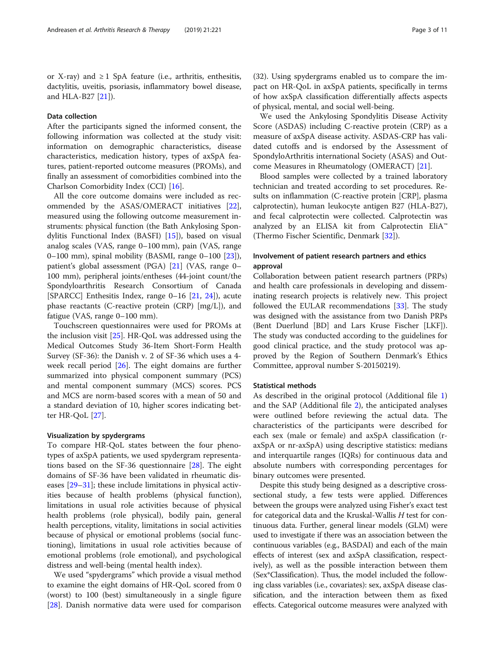or X-ray) and  $\geq 1$  SpA feature (i.e., arthritis, enthesitis, dactylitis, uveitis, psoriasis, inflammatory bowel disease, and HLA-B27 [\[21\]](#page-10-0)).

#### Data collection

After the participants signed the informed consent, the following information was collected at the study visit: information on demographic characteristics, disease characteristics, medication history, types of axSpA features, patient-reported outcome measures (PROMs), and finally an assessment of comorbidities combined into the Charlson Comorbidity Index (CCI) [\[16](#page-10-0)].

All the core outcome domains were included as recommended by the ASAS/OMERACT initiatives [\[22](#page-10-0)], measured using the following outcome measurement instruments: physical function (the Bath Ankylosing Spondylitis Functional Index (BASFI) [[15\]](#page-10-0)), based on visual analog scales (VAS, range 0–100 mm), pain (VAS, range 0–100 mm), spinal mobility (BASMI, range 0–100 [\[23](#page-10-0)]), patient's global assessment (PGA) [[21\]](#page-10-0) (VAS, range 0– 100 mm), peripheral joints/entheses (44-joint count/the Spondyloarthritis Research Consortium of Canada [SPARCC] Enthesitis Index, range 0–16 [[21,](#page-10-0) [24](#page-10-0)]), acute phase reactants (C-reactive protein (CRP) [mg/L]), and fatigue (VAS, range 0–100 mm).

Touchscreen questionnaires were used for PROMs at the inclusion visit [\[25](#page-10-0)]. HR-QoL was addressed using the Medical Outcomes Study 36-Item Short-Form Health Survey (SF-36): the Danish v. 2 of SF-36 which uses a 4 week recall period [[26](#page-10-0)]. The eight domains are further summarized into physical component summary (PCS) and mental component summary (MCS) scores. PCS and MCS are norm-based scores with a mean of 50 and a standard deviation of 10, higher scores indicating better HR-QoL [\[27](#page-10-0)].

#### Visualization by spydergrams

To compare HR-QoL states between the four phenotypes of axSpA patients, we used spydergram representations based on the SF-36 questionnaire [[28](#page-10-0)]. The eight domains of SF-36 have been validated in rheumatic diseases [[29](#page-10-0)–[31](#page-10-0)]; these include limitations in physical activities because of health problems (physical function), limitations in usual role activities because of physical health problems (role physical), bodily pain, general health perceptions, vitality, limitations in social activities because of physical or emotional problems (social functioning), limitations in usual role activities because of emotional problems (role emotional), and psychological distress and well-being (mental health index).

We used "spydergrams" which provide a visual method to examine the eight domains of HR-QoL scored from 0 (worst) to 100 (best) simultaneously in a single figure [[28\]](#page-10-0). Danish normative data were used for comparison

(32). Using spydergrams enabled us to compare the impact on HR-QoL in axSpA patients, specifically in terms of how axSpA classification differentially affects aspects of physical, mental, and social well-being.

We used the Ankylosing Spondylitis Disease Activity Score (ASDAS) including C-reactive protein (CRP) as a measure of axSpA disease activity. ASDAS-CRP has validated cutoffs and is endorsed by the Assessment of SpondyloArthritis international Society (ASAS) and Outcome Measures in Rheumatology (OMERACT) [\[21\]](#page-10-0).

Blood samples were collected by a trained laboratory technician and treated according to set procedures. Results on inflammation (C-reactive protein [CRP], plasma calprotectin), human leukocyte antigen B27 (HLA-B27), and fecal calprotectin were collected. Calprotectin was analyzed by an ELISA kit from Calprotectin EliA™ (Thermo Fischer Scientific, Denmark [[32\]](#page-10-0)).

#### Involvement of patient research partners and ethics approval

Collaboration between patient research partners (PRPs) and health care professionals in developing and disseminating research projects is relatively new. This project followed the EULAR recommendations [[33\]](#page-10-0). The study was designed with the assistance from two Danish PRPs (Bent Duerlund [BD] and Lars Kruse Fischer [LKF]). The study was conducted according to the guidelines for good clinical practice, and the study protocol was approved by the Region of Southern Denmark's Ethics Committee, approval number S-20150219).

#### Statistical methods

As described in the original protocol (Additional file [1](#page-9-0)) and the SAP (Additional file [2\)](#page-9-0), the anticipated analyses were outlined before reviewing the actual data. The characteristics of the participants were described for each sex (male or female) and axSpA classification (raxSpA or nr-axSpA) using descriptive statistics: medians and interquartile ranges (IQRs) for continuous data and absolute numbers with corresponding percentages for binary outcomes were presented.

Despite this study being designed as a descriptive crosssectional study, a few tests were applied. Differences between the groups were analyzed using Fisher's exact test for categorical data and the Kruskal-Wallis  $H$  test for continuous data. Further, general linear models (GLM) were used to investigate if there was an association between the continuous variables (e.g., BASDAI) and each of the main effects of interest (sex and axSpA classification, respectively), as well as the possible interaction between them (Sex\*Classification). Thus, the model included the following class variables (i.e., covariates): sex, axSpA disease classification, and the interaction between them as fixed effects. Categorical outcome measures were analyzed with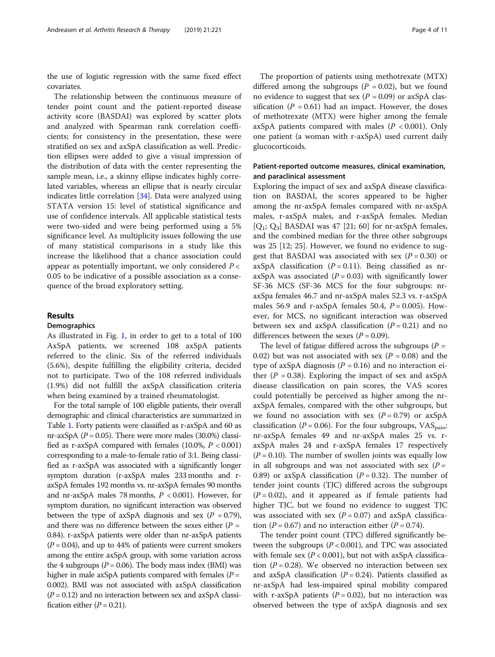the use of logistic regression with the same fixed effect covariates.

The relationship between the continuous measure of tender point count and the patient-reported disease activity score (BASDAI) was explored by scatter plots and analyzed with Spearman rank correlation coefficients; for consistency in the presentation, these were stratified on sex and axSpA classification as well. Prediction ellipses were added to give a visual impression of the distribution of data with the center representing the sample mean, i.e., a skinny ellipse indicates highly correlated variables, whereas an ellipse that is nearly circular indicates little correlation [[34\]](#page-10-0). Data were analyzed using STATA version 15: level of statistical significance and use of confidence intervals. All applicable statistical tests were two-sided and were being performed using a 5% significance level. As multiplicity issues following the use of many statistical comparisons in a study like this increase the likelihood that a chance association could appear as potentially important, we only considered  $P \lt \mathbb{R}$ 0.05 to be indicative of a possible association as a consequence of the broad exploratory setting.

#### Results

#### **Demographics**

As illustrated in Fig. [1,](#page-4-0) in order to get to a total of 100 AxSpA patients, we screened 108 axSpA patients referred to the clinic. Six of the referred individuals (5.6%), despite fulfilling the eligibility criteria, decided not to participate. Two of the 108 referred individuals (1.9%) did not fulfill the axSpA classification criteria when being examined by a trained rheumatologist.

For the total sample of 100 eligible patients, their overall demographic and clinical characteristics are summarized in Table [1](#page-5-0). Forty patients were classified as r-axSpA and 60 as nr-axSpA ( $P = 0.05$ ). There were more males (30.0%) classified as r-axSpA compared with females  $(10.0\%, P < 0.001)$ corresponding to a male-to-female ratio of 3:1. Being classified as r-axSpA was associated with a significantly longer symptom duration (r-axSpA males 233 months and raxSpA females 192 months vs. nr-axSpA females 90 months and nr-axSpA males 78 months,  $P < 0.001$ ). However, for symptom duration, no significant interaction was observed between the type of axSpA diagnosis and sex ( $P = 0.79$ ), and there was no difference between the sexes either  $(P =$ 0.84). r-axSpA patients were older than nr-axSpA patients  $(P = 0.04)$ , and up to 44% of patients were current smokers among the entire axSpA group, with some variation across the 4 subgroups ( $P = 0.06$ ). The body mass index (BMI) was higher in male axSpA patients compared with females ( $P =$ 0.002). BMI was not associated with axSpA classification  $(P = 0.12)$  and no interaction between sex and axSpA classification either  $(P = 0.21)$ .

The proportion of patients using methotrexate (MTX) differed among the subgroups ( $P = 0.02$ ), but we found no evidence to suggest that sex ( $P = 0.09$ ) or axSpA classification ( $P = 0.61$ ) had an impact. However, the doses of methotrexate (MTX) were higher among the female axSpA patients compared with males ( $P < 0.001$ ). Only one patient (a woman with r-axSpA) used current daily glucocorticoids.

#### Patient-reported outcome measures, clinical examination, and paraclinical assessment

Exploring the impact of sex and axSpA disease classification on BASDAI, the scores appeared to be higher among the nr-axSpA females compared with nr-axSpA males, r-axSpA males, and r-axSpA females. Median  $[Q_1; Q_3]$  BASDAI was 47 [21; 60] for nr-axSpA females, and the combined median for the three other subgroups was 25 [12; 25]. However, we found no evidence to suggest that BASDAI was associated with sex  $(P = 0.30)$  or axSpA classification  $(P = 0.11)$ . Being classified as nraxSpA was associated  $(P = 0.03)$  with significantly lower SF-36 MCS (SF-36 MCS for the four subgroups: nraxSpa females 46.7 and nr-axSpA males 52.3 vs. r-axSpA males 56.9 and r-axSpA females 50.4,  $P = 0.005$ ). However, for MCS, no significant interaction was observed between sex and axSpA classification  $(P = 0.21)$  and no differences between the sexes ( $P = 0.09$ ).

The level of fatigue differed across the subgroups ( $P =$ 0.02) but was not associated with sex ( $P = 0.08$ ) and the type of axSpA diagnosis ( $P = 0.16$ ) and no interaction either ( $P = 0.38$ ). Exploring the impact of sex and axSpA disease classification on pain scores, the VAS scores could potentially be perceived as higher among the nraxSpA females, compared with the other subgroups, but we found no association with sex  $(P = 0.79)$  or axSpA classification ( $P = 0.06$ ). For the four subgroups, VAS<sub>pain</sub>: nr-axSpA females 49 and nr-axSpA males 25 vs. raxSpA males 24 and r-axSpA females 17 respectively  $(P = 0.10)$ . The number of swollen joints was equally low in all subgroups and was not associated with sex  $(P =$ 0.89) or axSpA classification ( $P = 0.32$ ). The number of tender joint counts (TJC) differed across the subgroups  $(P = 0.02)$ , and it appeared as if female patients had higher TJC, but we found no evidence to suggest TJC was associated with sex ( $P = 0.07$ ) and axSpA classification ( $P = 0.67$ ) and no interaction either ( $P = 0.74$ ).

The tender point count (TPC) differed significantly between the subgroups ( $P < 0.001$ ), and TPC was associated with female sex ( $P < 0.001$ ), but not with axSpA classification ( $P = 0.28$ ). We observed no interaction between sex and axSpA classification ( $P = 0.24$ ). Patients classified as nr-axSpA had less-impaired spinal mobility compared with r-axSpA patients ( $P = 0.02$ ), but no interaction was observed between the type of axSpA diagnosis and sex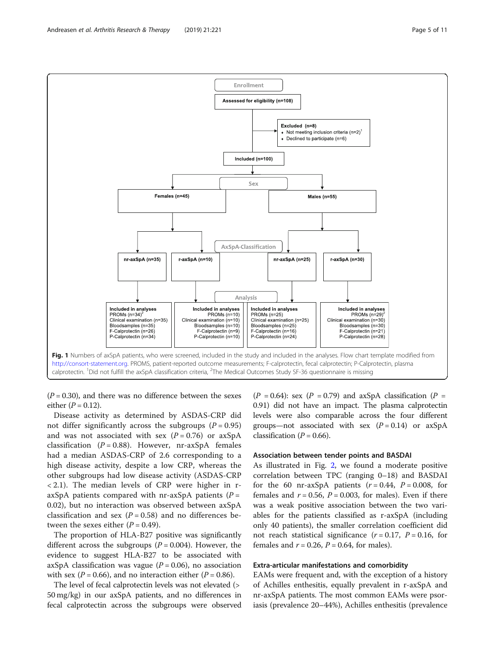$(P = 0.30)$ , and there was no difference between the sexes either ( $P = 0.12$ ).

Disease activity as determined by ASDAS-CRP did not differ significantly across the subgroups ( $P = 0.95$ ) and was not associated with sex  $(P = 0.76)$  or axSpA classification ( $P = 0.88$ ). However, nr-axSpA females had a median ASDAS-CRP of 2.6 corresponding to a high disease activity, despite a low CRP, whereas the other subgroups had low disease activity (ASDAS-CRP  $<$  2.1). The median levels of CRP were higher in raxSpA patients compared with nr-axSpA patients  $(P =$ 0.02), but no interaction was observed between axSpA classification and sex ( $P = 0.58$ ) and no differences between the sexes either  $(P = 0.49)$ .

The proportion of HLA-B27 positive was significantly different across the subgroups ( $P = 0.004$ ). However, the evidence to suggest HLA-B27 to be associated with axSpA classification was vague ( $P = 0.06$ ), no association with sex ( $P = 0.66$ ), and no interaction either ( $P = 0.86$ ).

The level of fecal calprotectin levels was not elevated (> 50 mg/kg) in our axSpA patients, and no differences in fecal calprotectin across the subgroups were observed

 $(P = 0.64)$ : sex  $(P = 0.79)$  and axSpA classification  $(P = 0.64)$ : 0.91) did not have an impact. The plasma calprotectin levels were also comparable across the four different groups—not associated with sex  $(P = 0.14)$  or axSpA classification ( $P = 0.66$ ).

#### Association between tender points and BASDAI

As illustrated in Fig. [2,](#page-6-0) we found a moderate positive correlation between TPC (ranging 0–18) and BASDAI for the 60 nr-axSpA patients  $(r = 0.44, P = 0.008,$  for females and  $r = 0.56$ ,  $P = 0.003$ , for males). Even if there was a weak positive association between the two variables for the patients classified as r-axSpA (including only 40 patients), the smaller correlation coefficient did not reach statistical significance  $(r = 0.17, P = 0.16, for$ females and  $r = 0.26$ ,  $P = 0.64$ , for males).

#### Extra-articular manifestations and comorbidity

EAMs were frequent and, with the exception of a history of Achilles enthesitis, equally prevalent in r-axSpA and nr-axSpA patients. The most common EAMs were psoriasis (prevalence 20–44%), Achilles enthesitis (prevalence

<span id="page-4-0"></span>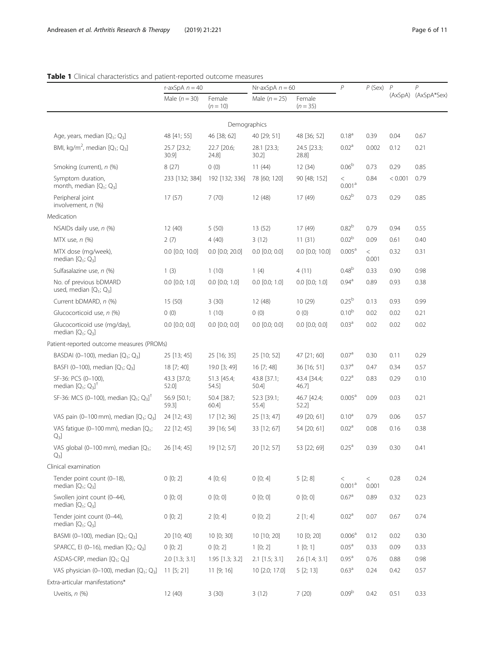#### <span id="page-5-0"></span>Table 1 Clinical characteristics and patient-reported outcome measures

|                                                           | r-axSpA $n = 40$     |                      | Nr-axSpA $n = 60$    |                      | $\overline{P}$                | $P$ (Sex)        | P       | P                   |
|-----------------------------------------------------------|----------------------|----------------------|----------------------|----------------------|-------------------------------|------------------|---------|---------------------|
|                                                           | Male $(n = 30)$      | Female<br>$(n = 10)$ | Male $(n = 25)$      | Female<br>$(n = 35)$ |                               |                  |         | (AxSpA) (AxSpA*Sex) |
|                                                           |                      | Demographics         |                      |                      |                               |                  |         |                     |
| Age, years, median $[Q_1; Q_3]$                           | 48 [41; 55]          | 46 [38; 62]          | 40 [29; 51]          | 48 [36; 52]          | 0.18 <sup>a</sup>             | 0.39             | 0.04    | 0.67                |
| BMI, kg/m <sup>2</sup> , median $[Q_1; Q_3]$              | 25.7 [23.2;<br>30.9] | 22.7 [20.6;<br>24.8] | 28.1 [23.3;<br>30.2] | 24.5 [23.3;<br>28.8] | 0.02 <sup>a</sup>             | 0.002            | 0.12    | 0.21                |
| Smoking (current), n (%)                                  | 8(27)                | 0(0)                 | 11(44)               | 12(34)               | 0.06 <sup>b</sup>             | 0.73             | 0.29    | 0.85                |
| Symptom duration,<br>month, median $[Q_1; Q_3]$           | 233 [132; 384]       | 192 [132; 336]       | 78 [60; 120]         | 90 [48; 152]         | $\,<\,$<br>0.001 <sup>a</sup> | 0.84             | < 0.001 | 0.79                |
| Peripheral joint<br>involvement, n (%)                    | 17(57)               | 7(70)                | 12 (48)              | 17 (49)              | 0.62 <sup>b</sup>             | 0.73             | 0.29    | 0.85                |
| Medication                                                |                      |                      |                      |                      |                               |                  |         |                     |
| NSAIDs daily use, $n$ (%)                                 | 12 (40)              | 5(50)                | 13(52)               | 17 (49)              | 0.82 <sup>b</sup>             | 0.79             | 0.94    | 0.55                |
| MTX use, n (%)                                            | 2(7)                 | 4(40)                | 3(12)                | 11(31)               | $0.02^{\rm b}$                | 0.09             | 0.61    | 0.40                |
| MTX dose (mg/week),<br>median $[Q_1; Q_3]$                | $0.0$ $[0.0; 10.0]$  | $0.0$ $[0.0; 20.0]$  | $0.0$ $[0.0; 0.0]$   | $0.0$ $[0.0; 10.0]$  | 0.005 <sup>a</sup>            | $\,<\,$<br>0.001 | 0.32    | 0.31                |
| Sulfasalazine use, n (%)                                  | 1(3)                 | 1(10)                | 1(4)                 | 4(11)                | $0.48^{b}$                    | 0.33             | 0.90    | 0.98                |
| No. of previous bDMARD<br>used, median $[Q_1; Q_3]$       | $0.0$ $[0.0; 1.0]$   | $0.0$ $[0.0; 1.0]$   | $0.0$ $[0.0; 1.0]$   | $0.0$ $[0.0; 1.0]$   | $0.94^{\circ}$                | 0.89             | 0.93    | 0.38                |
| Current bDMARD, n (%)                                     | 15 (50)              | 3(30)                | 12 (48)              | 10(29)               | 0.25 <sup>b</sup>             | 0.13             | 0.93    | 0.99                |
| Glucocorticoid use, n (%)                                 | 0(0)                 | 1(10)                | 0(0)                 | 0(0)                 | $0.10^{b}$                    | 0.02             | 0.02    | 0.21                |
| Glucocorticoid use (mg/day),<br>median $[Q_1; Q_3]$       | $0.0$ $[0.0; 0.0]$   | $0.0$ $[0.0; 0.0]$   | $0.0$ $[0.0; 0.0]$   | $0.0$ $[0.0; 0.0]$   | 0.03 <sup>a</sup>             | 0.02             | 0.02    | 0.02                |
| Patient-reported outcome measures (PROMs)                 |                      |                      |                      |                      |                               |                  |         |                     |
| BASDAI (0-100), median $[Q_1; Q_3]$                       | 25 [13; 45]          | 25 [16; 35]          | 25 [10; 52]          | 47 [21; 60]          | 0.07 <sup>a</sup>             | 0.30             | 0.11    | 0.29                |
| BASFI (0-100), median $[Q_1; Q_3]$                        | 18 [7; 40]           | 19.0 [3; 49]         | 16 [7; 48]           | 36 [16; 51]          | 0.37 <sup>a</sup>             | 0.47             | 0.34    | 0.57                |
| SF-36: PCS (0-100),<br>median $[Q_1; Q_3]^{\dagger}$      | 43.3 [37.0;<br>52.0] | 51.3 [45.4;<br>54.5] | 43.8 [37.1;<br>50.41 | 43.4 [34.4;<br>46.7  | 0.22 <sup>a</sup>             | 0.83             | 0.29    | 0.10                |
| SF-36: MCS (0-100), median $[Q_1; Q_3]^{\dagger}$         | 56.9 [50.1;<br>59.3] | 50.4 [38.7;<br>60.41 | 52.3 [39.1;<br>55.4] | 46.7 [42.4;<br>52.2] | 0.005 <sup>a</sup>            | 0.09             | 0.03    | 0.21                |
| VAS pain (0-100 mm), median $[Q_1; Q_3]$                  | 24 [12; 43]          | 17 [12; 36]          | 25 [13; 47]          | 49 [20; 61]          | 0.10 <sup>a</sup>             | 0.79             | 0.06    | 0.57                |
| VAS fatique (0-100 mm), median [Q <sub>1</sub> ;<br>$Q_3$ | 22 [12; 45]          | 39 [16; 54]          | 33 [12; 67]          | 54 [20; 61]          | 0.02 <sup>a</sup>             | 0.08             | 0.16    | 0.38                |
| VAS global (0-100 mm), median [Q1;<br>Q3]                 | 26 [14; 45]          | 19 [12; 57]          | 20 [12; 57]          | 53 [22; 69]          | 0.25 <sup>a</sup>             | 0.39             | 0.30    | 0.41                |
| Clinical examination                                      |                      |                      |                      |                      |                               |                  |         |                     |
| Tender point count (0-18),<br>median $[Q_1; Q_3]$         | 0 [0; 2]             | 4 [0; 6]             | 0[0; 4]              | 5[2;8]               | $\,<$<br>0.001 <sup>a</sup>   | $\,<$<br>0.001   | 0.28    | 0.24                |
| Swollen joint count (0-44),<br>median $[Q_1; Q_3]$        | 0 [0; 0]             | 0 [0; 0]             | 0 [0; 0]             | 0 [0; 0]             | 0.67 <sup>a</sup>             | 0.89             | 0.32    | 0.23                |
| Tender joint count (0-44),<br>median $[Q_1; Q_3]$         | 0[0; 2]              | 2[0; 4]              | 0[0; 2]              | 2[1; 4]              | 0.02 <sup>a</sup>             | 0.07             | 0.67    | 0.74                |
| BASMI (0-100), median $[Q_1; Q_3]$                        | 20 [10; 40]          | 10 [0; 30]           | 10 [10; 20]          | 10 [0; 20]           | 0.006 <sup>a</sup>            | 0.12             | 0.02    | 0.30                |
| SPARCC, EI (0-16), median $[Q_1; Q_3]$                    | 0[0; 2]              | 0 [0; 2]             | 1[0; 2]              | 1[0;1]               | $0.05^{\circ}$                | 0.33             | 0.09    | 0.33                |
| ASDAS-CRP, median $[Q_1; Q_3]$                            | 2.0 [1.3; 3.1]       | 1.95 [1.3; 3.2]      | 2.1 [1.5; 3.1]       | 2.6 [1.4; 3.1]       | $0.95^{\circ}$                | 0.76             | 0.88    | 0.98                |
| VAS physician (0-100), median $[Q_1; Q_3]$                | $11$ [5; 21]         | 11 [9; 16]           | 10 [2.0; 17.0]       | 5[2; 13]             | 0.63 <sup>a</sup>             | 0.24             | 0.42    | 0.57                |
| Extra-articular manifestations*                           |                      |                      |                      |                      |                               |                  |         |                     |
| Uveitis, n (%)                                            | 12(40)               | 3(30)                | 3(12)                | 7(20)                | 0.09 <sup>b</sup>             | 0.42             | 0.51    | 0.33                |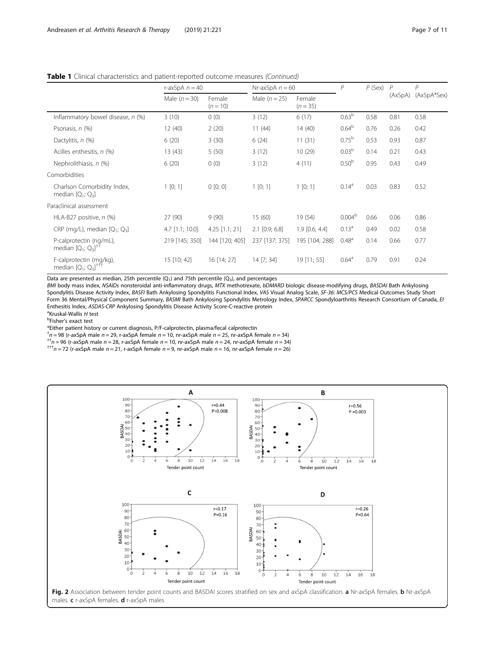<span id="page-6-0"></span>Table 1 Clinical characteristics and patient-reported outcome measures (Continued)

|                                                     | r-axSpA $n = 40$  |                      | Nr-axSpA $n = 60$ |                      | P                  | $P$ (Sex) | $\mathcal P$ | $\mathsf{P}$ |
|-----------------------------------------------------|-------------------|----------------------|-------------------|----------------------|--------------------|-----------|--------------|--------------|
|                                                     | Male $(n = 30)$   | Female<br>$(n = 10)$ | Male $(n = 25)$   | Female<br>$(n = 35)$ |                    |           | (AxSpA)      | (AxSpA*Sex)  |
| Inflammatory bowel disease, n (%)                   | 3(10)             | 0(0)                 | 3(12)             | 6(17)                | 0.63 <sup>b</sup>  | 0.58      | 0.81         | 0.58         |
| Psoriasis, n (%)                                    | 12 (40)           | 2(20)                | 11(44)            | 14(40)               | 0.64 <sup>b</sup>  | 0.76      | 0.26         | 0.42         |
| Dactylitis, n (%)                                   | 6(20)             | 3(30)                | 6(24)             | 11(31)               | 0.75 <sup>b</sup>  | 0.53      | 0.93         | 0.87         |
| Acilles enthesitis, n (%)                           | 13 (43)           | 5(50)                | 3(12)             | 10(29)               | 0.03 <sup>b</sup>  | 0.14      | 0.21         | 0.43         |
| Nephrolithiasis, n (%)                              | 6(20)             | 0(0)                 | 3(12)             | 4(11)                | 0.50 <sup>b</sup>  | 0.95      | 0.43         | 0.49         |
| Comorbidities                                       |                   |                      |                   |                      |                    |           |              |              |
| Charlson Comorbidity Index,<br>median $[Q_1; Q_3]$  | 1[0;1]            | 0 [0; 0]             | 1[0;1]            | 1[0;1]               | $0.14^a$           | 0.03      | 0.83         | 0.52         |
| Paraclinical assessment                             |                   |                      |                   |                      |                    |           |              |              |
| HLA-B27 positive, $n$ (%)                           | 27 (90)           | 9(90)                | 15(60)            | 19 (54)              | 0.004 <sup>b</sup> | 0.66      | 0.06         | 0.86         |
| CRP (mg/L), median $[Q_1; Q_3]$                     | $4.7$ [1.1; 10.0] | $4.25$ [1.1; 21]     | $2.1$ [0.9; 6.8]  | $1.9$ [0.6; 4.4]     | $0.13^{\circ}$     | 0.49      | 0.02         | 0.58         |
| P-calprotectin (ng/mL),<br>median $[Q_1; Q_3]^{++}$ | 219 [145; 350]    | 144 [120; 405]       | 237 [137; 375]    | 195 [104; 288]       | 0.48 <sup>a</sup>  | 0.14      | 0.66         | 0.77         |
| F-calprotectin (mg/kg),<br>median $[Q_1; Q_3]^{++}$ | 15 [10; 42]       | 16 [14; 27]          | 14 [7; 34]        | 19 [11; 55]          | $0.64^{\circ}$     | 0.79      | 0.91         | 0.24         |

Data are presented as median, 25th percentile  $(Q_1)$  and 75th percentile  $(Q_3)$ , and percentages

BMI body mass index, NSAIDs nonsteroidal anti-inflammatory drugs, MTX methotrexate, bDMARD biologic disease-modifying drugs, BASDAI Bath Ankylosing Spondylitis Disease Activity Index, BASFI Bath Ankylosing Spondylitis Functional Index, VAS Visual Analog Scale, SF-36: MCS/PCS Medical Outcomes Study Short Form 36 Mental/Physical Component Summary, BASMI Bath Ankylosing Spondylitis Metrology Index, SPARCC Spondyloarthritis Research Consortium of Canada, EI Enthesitis Index, ASDAS-CRP Ankylosing Spondylitis Disease Activity Score-C-reactive protein <sup>a</sup>Kruskal-Wallis H test

<sup>a</sup>Kruskal-Wallis H test<br><sup>b</sup>Fisher's exact test

\*Either patient history or current diagnosis, P/F-calprotectin, plasma/fecal calprotectin

 $<sup>†</sup>n = 98$  (r-axSpA male  $n = 29$ , r-axSpA female  $n = 10$ , nr-axSpA male  $n = 25$ , nr-axSpA female  $n = 34$ )</sup>

<sup>+†</sup>n = 96 (r-axSpA male n = 28, r-axSpA female n = 10, nr-axSpA male n = 24, nr-axSpA female n = 34)<br><sup>+++</sup>n = 72 (r-axSpA male n = 21, r-axSpA female n = 9, nr-axSpA male n = 16, nr-axSpA female n = 26)

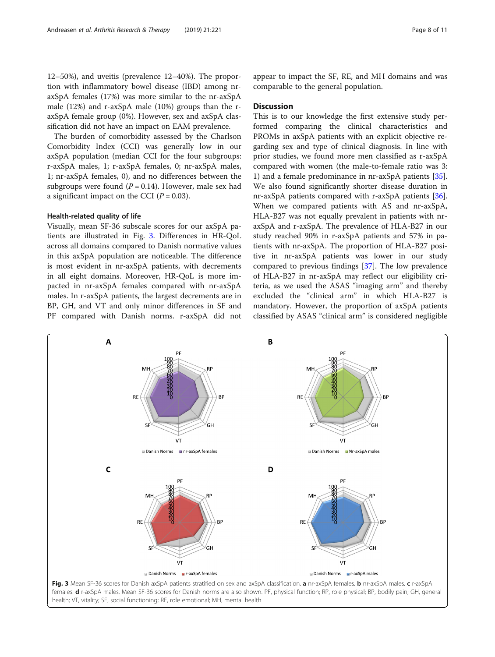12–50%), and uveitis (prevalence 12–40%). The proportion with inflammatory bowel disease (IBD) among nraxSpA females (17%) was more similar to the nr-axSpA male (12%) and r-axSpA male (10%) groups than the raxSpA female group (0%). However, sex and axSpA classification did not have an impact on EAM prevalence.

The burden of comorbidity assessed by the Charlson Comorbidity Index (CCI) was generally low in our axSpA population (median CCI for the four subgroups: r-axSpA males, 1; r-axSpA females, 0; nr-axSpA males, 1; nr-axSpA females, 0), and no differences between the subgroups were found  $(P = 0.14)$ . However, male sex had a significant impact on the CCI  $(P = 0.03)$ .

#### Health-related quality of life

Visually, mean SF-36 subscale scores for our axSpA patients are illustrated in Fig. 3. Differences in HR-QoL across all domains compared to Danish normative values in this axSpA population are noticeable. The difference is most evident in nr-axSpA patients, with decrements in all eight domains. Moreover, HR-QoL is more impacted in nr-axSpA females compared with nr-axSpA males. In r-axSpA patients, the largest decrements are in BP, GH, and VT and only minor differences in SF and PF compared with Danish norms. r-axSpA did not

appear to impact the SF, RE, and MH domains and was comparable to the general population.

#### **Discussion**

This is to our knowledge the first extensive study performed comparing the clinical characteristics and PROMs in axSpA patients with an explicit objective regarding sex and type of clinical diagnosis. In line with prior studies, we found more men classified as r-axSpA compared with women (the male-to-female ratio was 3: 1) and a female predominance in nr-axSpA patients [\[35](#page-10-0)]. We also found significantly shorter disease duration in nr-axSpA patients compared with r-axSpA patients [\[36](#page-10-0)]. When we compared patients with AS and nr-axSpA, HLA-B27 was not equally prevalent in patients with nraxSpA and r-axSpA. The prevalence of HLA-B27 in our study reached 90% in r-axSpA patients and 57% in patients with nr-axSpA. The proportion of HLA-B27 positive in nr-axSpA patients was lower in our study compared to previous findings [\[37](#page-10-0)]. The low prevalence of HLA-B27 in nr-axSpA may reflect our eligibility criteria, as we used the ASAS "imaging arm" and thereby excluded the "clinical arm" in which HLA-B27 is mandatory. However, the proportion of axSpA patients classified by ASAS "clinical arm" is considered negligible



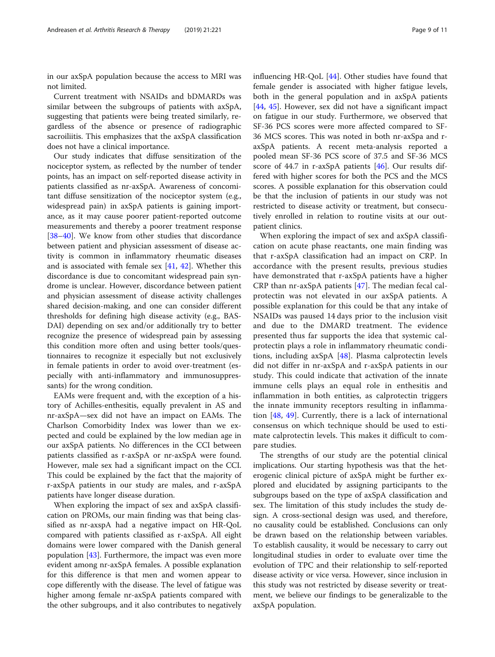in our axSpA population because the access to MRI was not limited.

Current treatment with NSAIDs and bDMARDs was similar between the subgroups of patients with axSpA, suggesting that patients were being treated similarly, regardless of the absence or presence of radiographic sacroiliitis. This emphasizes that the axSpA classification does not have a clinical importance.

Our study indicates that diffuse sensitization of the nociceptor system, as reflected by the number of tender points, has an impact on self-reported disease activity in patients classified as nr-axSpA. Awareness of concomitant diffuse sensitization of the nociceptor system (e.g., widespread pain) in axSpA patients is gaining importance, as it may cause poorer patient-reported outcome measurements and thereby a poorer treatment response [[38](#page-10-0)–[40](#page-10-0)]. We know from other studies that discordance between patient and physician assessment of disease activity is common in inflammatory rheumatic diseases and is associated with female sex  $[41, 42]$  $[41, 42]$  $[41, 42]$  $[41, 42]$ . Whether this discordance is due to concomitant widespread pain syndrome is unclear. However, discordance between patient and physician assessment of disease activity challenges shared decision-making, and one can consider different thresholds for defining high disease activity (e.g., BAS-DAI) depending on sex and/or additionally try to better recognize the presence of widespread pain by assessing this condition more often and using better tools/questionnaires to recognize it especially but not exclusively in female patients in order to avoid over-treatment (especially with anti-inflammatory and immunosuppressants) for the wrong condition.

EAMs were frequent and, with the exception of a history of Achilles-enthesitis, equally prevalent in AS and nr-axSpA—sex did not have an impact on EAMs. The Charlson Comorbidity Index was lower than we expected and could be explained by the low median age in our axSpA patients. No differences in the CCI between patients classified as r-axSpA or nr-axSpA were found. However, male sex had a significant impact on the CCI. This could be explained by the fact that the majority of r-axSpA patients in our study are males, and r-axSpA patients have longer disease duration.

When exploring the impact of sex and axSpA classification on PROMs, our main finding was that being classified as nr-axspA had a negative impact on HR-QoL compared with patients classified as r-axSpA. All eight domains were lower compared with the Danish general population [[43\]](#page-10-0). Furthermore, the impact was even more evident among nr-axSpA females. A possible explanation for this difference is that men and women appear to cope differently with the disease. The level of fatigue was higher among female nr-axSpA patients compared with the other subgroups, and it also contributes to negatively influencing HR-QoL [[44](#page-10-0)]. Other studies have found that female gender is associated with higher fatigue levels, both in the general population and in axSpA patients [[44,](#page-10-0) [45](#page-10-0)]. However, sex did not have a significant impact on fatigue in our study. Furthermore, we observed that SF-36 PCS scores were more affected compared to SF-36 MCS scores. This was noted in both nr-axSpa and raxSpA patients. A recent meta-analysis reported a pooled mean SF-36 PCS score of 37.5 and SF-36 MCS score of 44.7 in r-axSpA patients [\[46](#page-10-0)]. Our results differed with higher scores for both the PCS and the MCS scores. A possible explanation for this observation could be that the inclusion of patients in our study was not restricted to disease activity or treatment, but consecutively enrolled in relation to routine visits at our outpatient clinics.

When exploring the impact of sex and axSpA classification on acute phase reactants, one main finding was that r-axSpA classification had an impact on CRP. In accordance with the present results, previous studies have demonstrated that r-axSpA patients have a higher CRP than nr-axSpA patients [[47\]](#page-10-0). The median fecal calprotectin was not elevated in our axSpA patients. A possible explanation for this could be that any intake of NSAIDs was paused 14 days prior to the inclusion visit and due to the DMARD treatment. The evidence presented thus far supports the idea that systemic calprotectin plays a role in inflammatory rheumatic conditions, including axSpA [[48](#page-10-0)]. Plasma calprotectin levels did not differ in nr-axSpA and r-axSpA patients in our study. This could indicate that activation of the innate immune cells plays an equal role in enthesitis and inflammation in both entities, as calprotectin triggers the innate immunity receptors resulting in inflammation [\[48](#page-10-0), [49](#page-10-0)]. Currently, there is a lack of international consensus on which technique should be used to estimate calprotectin levels. This makes it difficult to compare studies.

The strengths of our study are the potential clinical implications. Our starting hypothesis was that the heterogenic clinical picture of axSpA might be further explored and elucidated by assigning participants to the subgroups based on the type of axSpA classification and sex. The limitation of this study includes the study design. A cross-sectional design was used, and therefore, no causality could be established. Conclusions can only be drawn based on the relationship between variables. To establish causality, it would be necessary to carry out longitudinal studies in order to evaluate over time the evolution of TPC and their relationship to self-reported disease activity or vice versa. However, since inclusion in this study was not restricted by disease severity or treatment, we believe our findings to be generalizable to the axSpA population.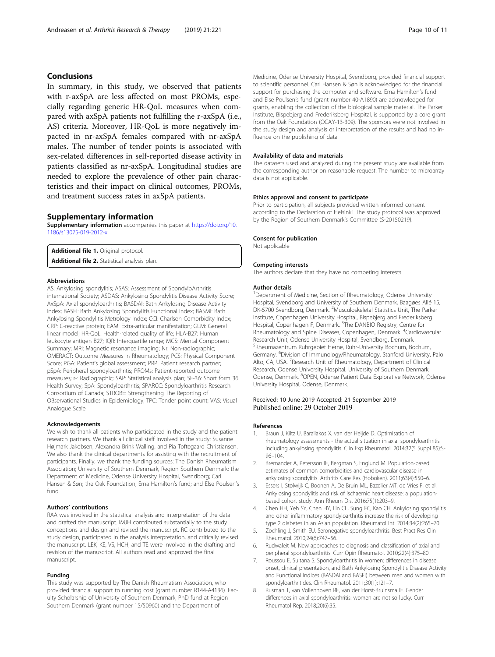#### <span id="page-9-0"></span>Conclusions

In summary, in this study, we observed that patients with r-axSpA are less affected on most PROMs, especially regarding generic HR-QoL measures when compared with axSpA patients not fulfilling the r-axSpA (i.e., AS) criteria. Moreover, HR-QoL is more negatively impacted in nr-axSpA females compared with nr-axSpA males. The number of tender points is associated with sex-related differences in self-reported disease activity in patients classified as nr-axSpA. Longitudinal studies are needed to explore the prevalence of other pain characteristics and their impact on clinical outcomes, PROMs, and treatment success rates in axSpA patients.

#### Supplementary information

Supplementary information accompanies this paper at [https://doi.org/10.](https://doi.org/10.1186/s13075-019-2012-x) [1186/s13075-019-2012-x](https://doi.org/10.1186/s13075-019-2012-x).

Additional file 1. Original protocol.

Additional file 2. Statistical analysis plan.

#### Abbreviations

AS: Ankylosing spondylitis; ASAS: Assessment of SpondyloArthritis international Society; ASDAS: Ankylosing Spondylitis Disease Activity Score; AxSpA: Axial spondyloarthritis; BASDAI: Bath Ankylosing Disease Activity Index; BASFI: Bath Ankylosing Spondylitis Functional Index; BASMI: Bath Ankylosing Spondylitis Metrology Index; CCI: Charlson Comorbidity Index; CRP: C-reactive protein; EAM: Extra-articular manifestation; GLM: General linear model; HR-QoL: Health-related quality of life; HLA-B27: Human leukocyte antigen B27; IQR: Interquartile range; MCS: Mental Component Summary; MRI: Magnetic resonance imaging; Nr: Non-radiographic; OMERACT: Outcome Measures in Rheumatology; PCS: Physical Component Score; PGA: Patient's global assessment; PRP: Patient research partner; pSpA: Peripheral spondyloarthritis; PROMs: Patient-reported outcome measures; r-: Radiographic; SAP: Statistical analysis plan; SF-36: Short form 36 Health Survey; SpA: Spondyloarthritis; SPARCC: Spondyloarthritis Research Consortium of Canada; STROBE: Strengthening The Reporting of OBservational Studies in Epidemiology; TPC: Tender point count; VAS: Visual Analogue Scale

#### Acknowledgements

We wish to thank all patients who participated in the study and the patient research partners. We thank all clinical staff involved in the study: Susanne Højmark Jakobsen, Alexandra Brink Walling, and Pia Toftegaard Christiansen. We also thank the clinical departments for assisting with the recruitment of participants. Finally, we thank the funding sources: The Danish Rheumatism Association; University of Southern Denmark, Region Southern Denmark; the Department of Medicine, Odense University Hospital, Svendborg; Carl Hansen & Søn; the Oak Foundation; Erna Hamilton's fund; and Else Poulsen's fund.

#### Authors' contributions

RAA was involved in the statistical analysis and interpretation of the data and drafted the manuscript. IMJH contributed substantially to the study conceptions and design and revised the manuscript. RC contributed to the study design, participated in the analysis interpretation, and critically revised the manuscript. LEK, KE, VS, HCH, and TE were involved in the drafting and revision of the manuscript. All authors read and approved the final manuscript.

#### Funding

This study was supported by The Danish Rheumatism Association, who provided financial support to running cost (grant number R144-A4136). Faculty Scholarship of University of Southern Denmark, PhD fund at Region Southern Denmark (grant number 15/50960) and the Department of

Medicine, Odense University Hospital, Svendborg, provided financial support to scientific personnel. Carl Hansen & Søn is acknowledged for the financial support for purchasing the computer and software. Erna Hamilton's fund and Else Poulsen's fund (grant number 40-A1890) are acknowledged for grants, enabling the collection of the biological sample material. The Parker Institute, Bispebjerg and Frederiksberg Hospital, is supported by a core grant from the Oak Foundation (OCAY-13-309). The sponsors were not involved in the study design and analysis or interpretation of the results and had no influence on the publishing of data.

#### Availability of data and materials

The datasets used and analyzed during the present study are available from the corresponding author on reasonable request. The number to microarray data is not applicable.

#### Ethics approval and consent to participate

Prior to participation, all subjects provided written informed consent according to the Declaration of Helsinki. The study protocol was approved by the Region of Southern Denmark's Committee (S-20150219).

#### Consent for publication

Not applicable

#### Competing interests

The authors declare that they have no competing interests.

#### Author details

<sup>1</sup>Department of Medicine, Section of Rheumatology, Odense University Hospital, Svendborg and University of Southern Denmark, Baagøes Allé 15, DK-5700 Svendborg, Denmark. <sup>2</sup>Musculoskeletal Statistics Unit, The Parker Institute, Copenhagen University Hospital, Bispebjerg and Frederiksberg Hospital, Copenhagen F, Denmark. <sup>3</sup>The DANBIO Registry, Centre for Rheumatology and Spine Diseases, Copenhagen, Denmark. <sup>4</sup>Cardiovascular Research Unit, Odense University Hospital, Svendborg, Denmark. 5 Rheumazentrum Ruhrgebiet Herne, Ruhr-University Bochum, Bochum, Germany. <sup>6</sup>Division of Immunology/Rheumatology, Stanford University, Palc Alto, CA, USA. <sup>7</sup> Research Unit of Rheumatology, Department of Clinical Research, Odense University Hospital, University of Southern Denmark, Odense, Denmark. <sup>8</sup>OPEN, Odense Patient Data Explorative Network, Odense University Hospital, Odense, Denmark.

## Received: 10 June 2019 Accepted: 21 September 2019<br>Published online: 29 October 2019

#### References

- Braun J, Kiltz U, Baraliakos X, van der Heijde D. Optimisation of rheumatology assessments - the actual situation in axial spondyloarthritis including ankylosing spondylitis. Clin Exp Rheumatol. 2014;32(5 Suppl 85):S-96–104.
- 2. Bremander A, Petersson IF, Bergman S, Englund M. Population-based estimates of common comorbidities and cardiovascular disease in ankylosing spondylitis. Arthritis Care Res (Hoboken). 2011;63(4):550–6.
- 3. Essers I, Stolwijk C, Boonen A, De Bruin ML, Bazelier MT, de Vries F, et al. Ankylosing spondylitis and risk of ischaemic heart disease: a populationbased cohort study. Ann Rheum Dis. 2016;75(1):203–9.
- 4. Chen HH, Yeh SY, Chen HY, Lin CL, Sung FC, Kao CH. Ankylosing spondylitis and other inflammatory spondyloarthritis increase the risk of developing type 2 diabetes in an Asian population. Rheumatol Int. 2014;34(2):265–70.
- 5. Zochling J, Smith EU. Seronegative spondyloarthritis. Best Pract Res Clin Rheumatol. 2010;24(6):747–56.
- 6. Rudwaleit M. New approaches to diagnosis and classification of axial and peripheral spondyloarthritis. Curr Opin Rheumatol. 2010;22(4):375–80.
- 7. Roussou E, Sultana S. Spondyloarthritis in women: differences in disease onset, clinical presentation, and Bath Ankylosing Spondylitis Disease Activity and Functional Indices (BASDAI and BASFI) between men and women with spondyloarthritides. Clin Rheumatol. 2011;30(1):121–7.
- 8. Rusman T, van Vollenhoven RF, van der Horst-Bruinsma IE. Gender differences in axial spondyloarthritis: women are not so lucky. Curr Rheumatol Rep. 2018;20(6):35.